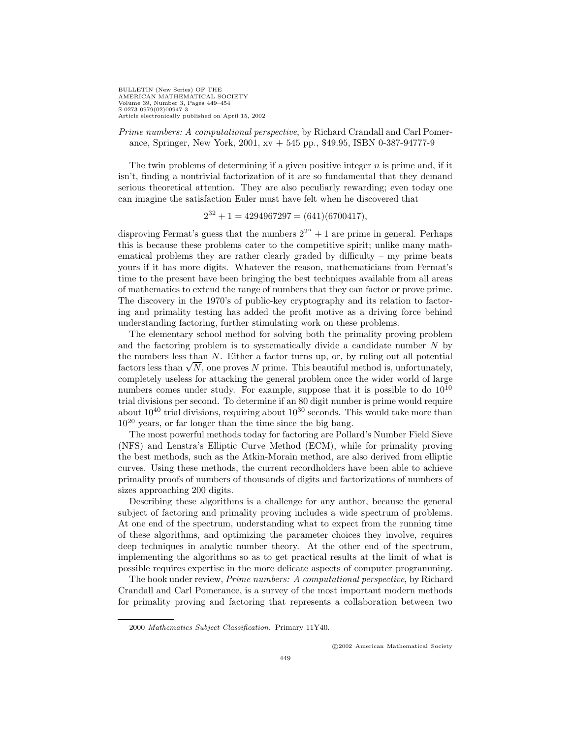BULLETIN (New Series) OF THE AMERICAN MATHEMATICAL SOCIETY Volume 39, Number 3, Pages 449–454 S 0273-0979(02)00947-3 Article electronically published on April 15, 2002

Prime numbers: A computational perspective, by Richard Crandall and Carl Pomerance, Springer, New York, 2001, xv + 545 pp., \$49.95, ISBN 0-387-94777-9

The twin problems of determining if a given positive integer  $n$  is prime and, if it isn't, finding a nontrivial factorization of it are so fundamental that they demand serious theoretical attention. They are also peculiarly rewarding; even today one can imagine the satisfaction Euler must have felt when he discovered that

$$
2^{32} + 1 = 4294967297 = (641)(6700417),
$$

disproving Fermat's guess that the numbers  $2^{2^n} + 1$  are prime in general. Perhaps this is because these problems cater to the competitive spirit; unlike many mathematical problems they are rather clearly graded by difficulty – my prime beats yours if it has more digits. Whatever the reason, mathematicians from Fermat's time to the present have been bringing the best techniques available from all areas of mathematics to extend the range of numbers that they can factor or prove prime. The discovery in the 1970's of public-key cryptography and its relation to factoring and primality testing has added the profit motive as a driving force behind understanding factoring, further stimulating work on these problems.

The elementary school method for solving both the primality proving problem and the factoring problem is to systematically divide a candidate number  $N$  by the numbers less than N. Either a factor turns up, or, by ruling out all potential the numbers less than *N*. Either a factor turns up, or, by ruling out all potential factors less than  $\sqrt{N}$ , one proves *N* prime. This beautiful method is, unfortunately, completely useless for attacking the general problem once the wider world of large numbers comes under study. For example, suppose that it is possible to do  $10^{10}$ trial divisions per second. To determine if an 80 digit number is prime would require about  $10^{40}$  trial divisions, requiring about  $10^{30}$  seconds. This would take more than  $10^{20}$  years, or far longer than the time since the big bang.

The most powerful methods today for factoring are Pollard's Number Field Sieve (NFS) and Lenstra's Elliptic Curve Method (ECM), while for primality proving the best methods, such as the Atkin-Morain method, are also derived from elliptic curves. Using these methods, the current recordholders have been able to achieve primality proofs of numbers of thousands of digits and factorizations of numbers of sizes approaching 200 digits.

Describing these algorithms is a challenge for any author, because the general subject of factoring and primality proving includes a wide spectrum of problems. At one end of the spectrum, understanding what to expect from the running time of these algorithms, and optimizing the parameter choices they involve, requires deep techniques in analytic number theory. At the other end of the spectrum, implementing the algorithms so as to get practical results at the limit of what is possible requires expertise in the more delicate aspects of computer programming.

The book under review, Prime numbers: A computational perspective, by Richard Crandall and Carl Pomerance, is a survey of the most important modern methods for primality proving and factoring that represents a collaboration between two

<sup>2000</sup> Mathematics Subject Classification. Primary 11Y40.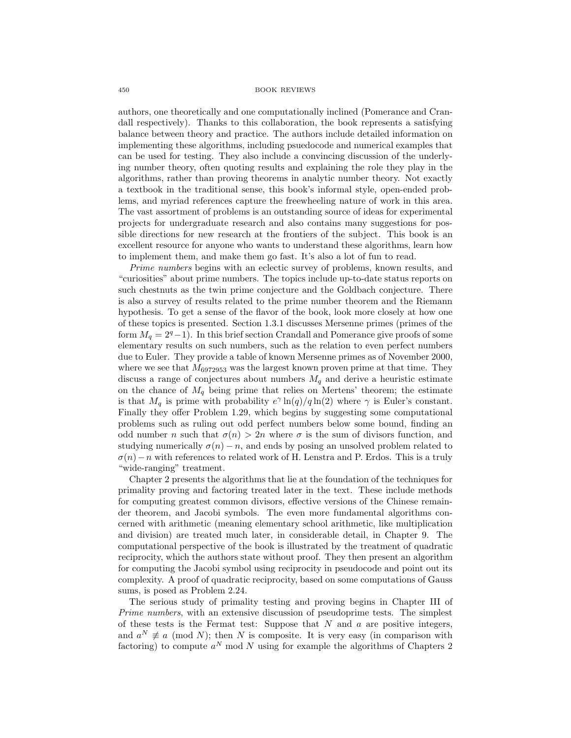authors, one theoretically and one computationally inclined (Pomerance and Crandall respectively). Thanks to this collaboration, the book represents a satisfying balance between theory and practice. The authors include detailed information on implementing these algorithms, including psuedocode and numerical examples that can be used for testing. They also include a convincing discussion of the underlying number theory, often quoting results and explaining the role they play in the algorithms, rather than proving theorems in analytic number theory. Not exactly a textbook in the traditional sense, this book's informal style, open-ended problems, and myriad references capture the freewheeling nature of work in this area. The vast assortment of problems is an outstanding source of ideas for experimental projects for undergraduate research and also contains many suggestions for possible directions for new research at the frontiers of the subject. This book is an excellent resource for anyone who wants to understand these algorithms, learn how to implement them, and make them go fast. It's also a lot of fun to read.

Prime numbers begins with an eclectic survey of problems, known results, and "curiosities" about prime numbers. The topics include up-to-date status reports on such chestnuts as the twin prime conjecture and the Goldbach conjecture. There is also a survey of results related to the prime number theorem and the Riemann hypothesis. To get a sense of the flavor of the book, look more closely at how one of these topics is presented. Section 1.3.1 discusses Mersenne primes (primes of the form  $M_q = 2^q - 1$ ). In this brief section Crandall and Pomerance give proofs of some elementary results on such numbers, such as the relation to even perfect numbers due to Euler. They provide a table of known Mersenne primes as of November 2000, where we see that  $M_{6972953}$  was the largest known proven prime at that time. They discuss a range of conjectures about numbers  $M_q$  and derive a heuristic estimate on the chance of  $M_q$  being prime that relies on Mertens' theorem; the estimate is that  $M_q$  is prime with probability  $e^{\gamma} \ln(q)/q \ln(2)$  where  $\gamma$  is Euler's constant. Finally they offer Problem 1.29, which begins by suggesting some computational problems such as ruling out odd perfect numbers below some bound, finding an odd number n such that  $\sigma(n) > 2n$  where  $\sigma$  is the sum of divisors function, and studying numerically  $\sigma(n) - n$ , and ends by posing an unsolved problem related to  $\sigma(n)-n$  with references to related work of H. Lenstra and P. Erdos. This is a truly "wide-ranging" treatment.

Chapter 2 presents the algorithms that lie at the foundation of the techniques for primality proving and factoring treated later in the text. These include methods for computing greatest common divisors, effective versions of the Chinese remainder theorem, and Jacobi symbols. The even more fundamental algorithms concerned with arithmetic (meaning elementary school arithmetic, like multiplication and division) are treated much later, in considerable detail, in Chapter 9. The computational perspective of the book is illustrated by the treatment of quadratic reciprocity, which the authors state without proof. They then present an algorithm for computing the Jacobi symbol using reciprocity in pseudocode and point out its complexity. A proof of quadratic reciprocity, based on some computations of Gauss sums, is posed as Problem 2.24.

The serious study of primality testing and proving begins in Chapter III of Prime numbers, with an extensive discussion of pseudoprime tests. The simplest of these tests is the Fermat test: Suppose that  $N$  and  $a$  are positive integers, and  $a^N \not\equiv a \pmod{N}$ ; then N is composite. It is very easy (in comparison with factoring) to compute  $a^N$  mod N using for example the algorithms of Chapters 2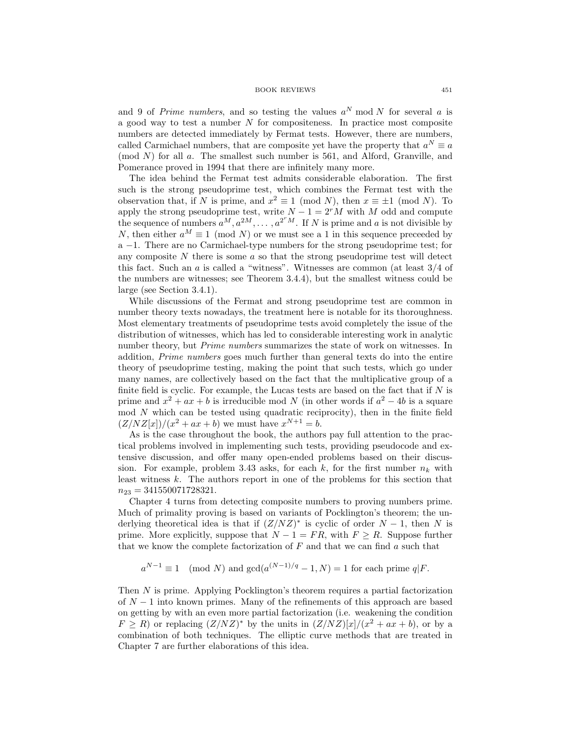and 9 of Prime numbers, and so testing the values  $a^N \mod N$  for several a is a good way to test a number  $N$  for compositeness. In practice most composite numbers are detected immediately by Fermat tests. However, there are numbers, called Carmichael numbers, that are composite yet have the property that  $a^N \equiv a$  $\pmod{N}$  for all a. The smallest such number is 561, and Alford, Granville, and Pomerance proved in 1994 that there are infinitely many more.

The idea behind the Fermat test admits considerable elaboration. The first such is the strong pseudoprime test, which combines the Fermat test with the observation that, if N is prime, and  $x^2 \equiv 1 \pmod{N}$ , then  $x \equiv \pm 1 \pmod{N}$ . To apply the strong pseudoprime test, write  $N - 1 = 2<sup>r</sup>M$  with M odd and compute the sequence of numbers  $a^M, a^{2M}, \ldots, a^{2^rM}$ . If N is prime and a is not divisible by N, then either  $a^M \equiv 1 \pmod{N}$  or we must see a 1 in this sequence preceded by a −1. There are no Carmichael-type numbers for the strong pseudoprime test; for any composite  $N$  there is some  $\alpha$  so that the strong pseudoprime test will detect this fact. Such an a is called a "witness". Witnesses are common (at least 3/4 of the numbers are witnesses; see Theorem 3.4.4), but the smallest witness could be large (see Section 3.4.1).

While discussions of the Fermat and strong pseudoprime test are common in number theory texts nowadays, the treatment here is notable for its thoroughness. Most elementary treatments of pseudoprime tests avoid completely the issue of the distribution of witnesses, which has led to considerable interesting work in analytic number theory, but Prime numbers summarizes the state of work on witnesses. In addition, Prime numbers goes much further than general texts do into the entire theory of pseudoprime testing, making the point that such tests, which go under many names, are collectively based on the fact that the multiplicative group of a finite field is cyclic. For example, the Lucas tests are based on the fact that if  $N$  is prime and  $x^2 + ax + b$  is irreducible mod N (in other words if  $a^2 - 4b$  is a square mod N which can be tested using quadratic reciprocity), then in the finite field  $(Z/NZ[x])/(x^2 + ax + b)$  we must have  $x^{N+1} = b$ .

As is the case throughout the book, the authors pay full attention to the practical problems involved in implementing such tests, providing pseudocode and extensive discussion, and offer many open-ended problems based on their discussion. For example, problem 3.43 asks, for each k, for the first number  $n_k$  with least witness k. The authors report in one of the problems for this section that  $n_{23} = 341550071728321.$ 

Chapter 4 turns from detecting composite numbers to proving numbers prime. Much of primality proving is based on variants of Pocklington's theorem; the underlying theoretical idea is that if  $(Z/NZ)^*$  is cyclic of order  $N-1$ , then N is prime. More explicitly, suppose that  $N - 1 = FR$ , with  $F \geq R$ . Suppose further that we know the complete factorization of  $F$  and that we can find a such that

$$
a^{N-1} \equiv 1 \pmod{N}
$$
 and  $gcd(a^{(N-1)/q} - 1, N) = 1$  for each prime  $q \mid F$ .

Then N is prime. Applying Pocklington's theorem requires a partial factorization of  $N-1$  into known primes. Many of the refinements of this approach are based on getting by with an even more partial factorization (i.e. weakening the condition  $F \ge R$ ) or replacing  $(Z/NZ)^*$  by the units in  $(Z/NZ)[x]/(x^2 + ax + b)$ , or by a combination of both techniques. The elliptic curve methods that are treated in Chapter 7 are further elaborations of this idea.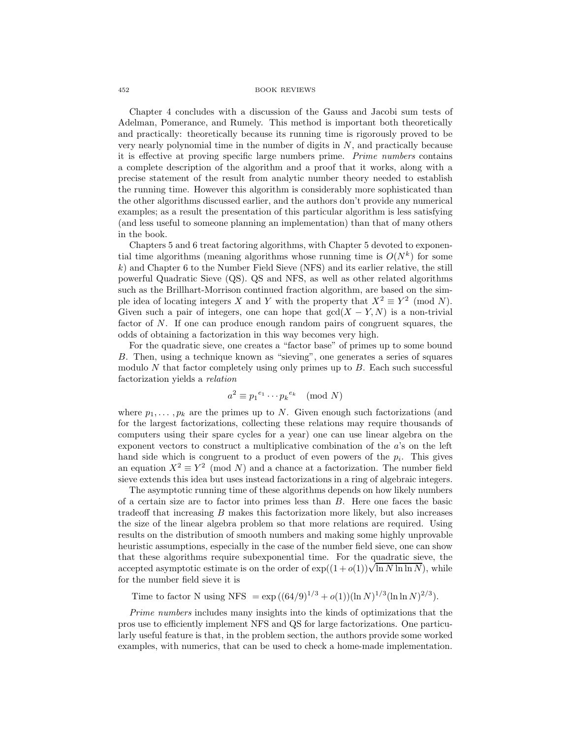Chapter 4 concludes with a discussion of the Gauss and Jacobi sum tests of Adelman, Pomerance, and Rumely. This method is important both theoretically and practically: theoretically because its running time is rigorously proved to be very nearly polynomial time in the number of digits in  $N$ , and practically because it is effective at proving specific large numbers prime. Prime numbers contains a complete description of the algorithm and a proof that it works, along with a precise statement of the result from analytic number theory needed to establish the running time. However this algorithm is considerably more sophisticated than the other algorithms discussed earlier, and the authors don't provide any numerical examples; as a result the presentation of this particular algorithm is less satisfying (and less useful to someone planning an implementation) than that of many others in the book.

Chapters 5 and 6 treat factoring algorithms, with Chapter 5 devoted to exponential time algorithms (meaning algorithms whose running time is  $O(N^k)$  for some  $k$ ) and Chapter 6 to the Number Field Sieve (NFS) and its earlier relative, the still powerful Quadratic Sieve (QS). QS and NFS, as well as other related algorithms such as the Brillhart-Morrison continued fraction algorithm, are based on the simple idea of locating integers X and Y with the property that  $X^2 \equiv Y^2 \pmod{N}$ . Given such a pair of integers, one can hope that  $gcd(X - Y, N)$  is a non-trivial factor of N. If one can produce enough random pairs of congruent squares, the odds of obtaining a factorization in this way becomes very high.

For the quadratic sieve, one creates a "factor base" of primes up to some bound B. Then, using a technique known as "sieving", one generates a series of squares modulo  $N$  that factor completely using only primes up to  $B$ . Each such successful factorization yields a relation

$$
a^2 \equiv p_1^{e_1} \cdots p_k^{e_k} \pmod{N}
$$

where  $p_1, \ldots, p_k$  are the primes up to N. Given enough such factorizations (and for the largest factorizations, collecting these relations may require thousands of computers using their spare cycles for a year) one can use linear algebra on the exponent vectors to construct a multiplicative combination of the a's on the left hand side which is congruent to a product of even powers of the  $p_i$ . This gives an equation  $X^2 \equiv Y^2 \pmod{N}$  and a chance at a factorization. The number field sieve extends this idea but uses instead factorizations in a ring of algebraic integers.

The asymptotic running time of these algorithms depends on how likely numbers of a certain size are to factor into primes less than B. Here one faces the basic tradeoff that increasing  $B$  makes this factorization more likely, but also increases the size of the linear algebra problem so that more relations are required. Using results on the distribution of smooth numbers and making some highly unprovable heuristic assumptions, especially in the case of the number field sieve, one can show that these algorithms require subexponential time. For the quadratic sieve, the that these algorithms require subexponential time. For the quadratic sleve, the accepted asymptotic estimate is on the order of  $\exp((1+o(1))\sqrt{\ln N \ln \ln N})$ , while for the number field sieve it is

Time to factor N using NFS =  $\exp((64/9)^{1/3} + o(1))(\ln N)^{1/3}(\ln \ln N)^{2/3})$ .

Prime numbers includes many insights into the kinds of optimizations that the pros use to efficiently implement NFS and QS for large factorizations. One particularly useful feature is that, in the problem section, the authors provide some worked examples, with numerics, that can be used to check a home-made implementation.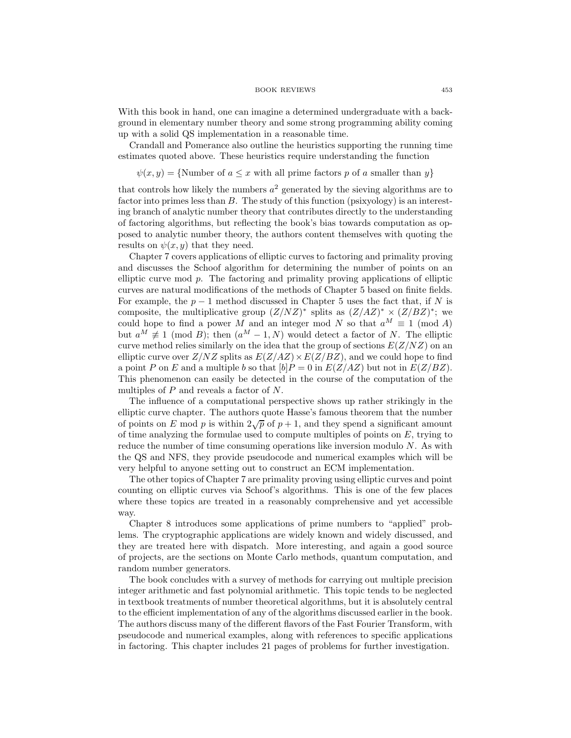With this book in hand, one can imagine a determined undergraduate with a background in elementary number theory and some strong programming ability coming up with a solid QS implementation in a reasonable time.

Crandall and Pomerance also outline the heuristics supporting the running time estimates quoted above. These heuristics require understanding the function

 $\psi(x, y) = \{ \text{Number of } a \leq x \text{ with all prime factors } p \text{ of } a \text{ smaller than } y \}$ 

that controls how likely the numbers  $a^2$  generated by the sieving algorithms are to factor into primes less than  $B$ . The study of this function (psixyology) is an interesting branch of analytic number theory that contributes directly to the understanding of factoring algorithms, but reflecting the book's bias towards computation as opposed to analytic number theory, the authors content themselves with quoting the results on  $\psi(x, y)$  that they need.

Chapter 7 covers applications of elliptic curves to factoring and primality proving and discusses the Schoof algorithm for determining the number of points on an elliptic curve mod p. The factoring and primality proving applications of elliptic curves are natural modifications of the methods of Chapter 5 based on finite fields. For example, the  $p-1$  method discussed in Chapter 5 uses the fact that, if N is composite, the multiplicative group  $(Z/NZ)^*$  splits as  $(Z/AZ)^* \times (Z/ZZ)^*$ ; we could hope to find a power M and an integer mod N so that  $a^M \equiv 1 \pmod{A}$ but  $a^M \neq 1 \pmod{B}$ ; then  $(a^M - 1, N)$  would detect a factor of N. The elliptic curve method relies similarly on the idea that the group of sections  $E(Z/NZ)$  on an elliptic curve over  $Z/NZ$  splits as  $E(Z/AZ) \times E(Z/BZ)$ , and we could hope to find a point P on E and a multiple b so that  $[b]P = 0$  in  $E(Z/AZ)$  but not in  $E(Z/BC)$ . This phenomenon can easily be detected in the course of the computation of the multiples of P and reveals a factor of N.

The influence of a computational perspective shows up rather strikingly in the elliptic curve chapter. The authors quote Hasse's famous theorem that the number of points on E mod p is within  $2\sqrt{p}$  of  $p+1$ , and they spend a significant amount of time analyzing the formulae used to compute multiples of points on  $E$ , trying to reduce the number of time consuming operations like inversion modulo N. As with the QS and NFS, they provide pseudocode and numerical examples which will be very helpful to anyone setting out to construct an ECM implementation.

The other topics of Chapter 7 are primality proving using elliptic curves and point counting on elliptic curves via Schoof's algorithms. This is one of the few places where these topics are treated in a reasonably comprehensive and yet accessible way.

Chapter 8 introduces some applications of prime numbers to "applied" problems. The cryptographic applications are widely known and widely discussed, and they are treated here with dispatch. More interesting, and again a good source of projects, are the sections on Monte Carlo methods, quantum computation, and random number generators.

The book concludes with a survey of methods for carrying out multiple precision integer arithmetic and fast polynomial arithmetic. This topic tends to be neglected in textbook treatments of number theoretical algorithms, but it is absolutely central to the efficient implementation of any of the algorithms discussed earlier in the book. The authors discuss many of the different flavors of the Fast Fourier Transform, with pseudocode and numerical examples, along with references to specific applications in factoring. This chapter includes 21 pages of problems for further investigation.